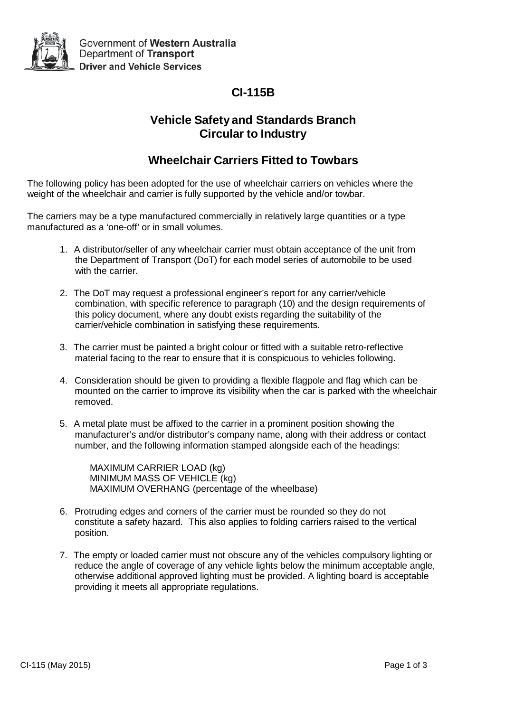

# **CI-115B**

## **Vehicle Safety and Standards Branch Circular to Industry**

## **Wheelchair Carriers Fitted to Towbars**

The following policy has been adopted for the use of wheelchair carriers on vehicles where the weight of the wheelchair and carrier is fully supported by the vehicle and/or towbar.

The carriers may be a type manufactured commercially in relatively large quantities or a type manufactured as a 'one-off' or in small volumes.

- 1. A distributor/seller of any wheelchair carrier must obtain acceptance of the unit from the Department of Transport (DoT) for each model series of automobile to be used with the carrier.
- 2. The DoT may request a professional engineer's report for any carrier/vehicle combination, with specific reference to paragraph (10) and the design requirements of this policy document, where any doubt exists regarding the suitability of the carrier/vehicle combination in satisfying these requirements.
- 3. The carrier must be painted a bright colour or fitted with a suitable retro-reflective material facing to the rear to ensure that it is conspicuous to vehicles following.
- 4. Consideration should be given to providing a flexible flagpole and flag which can be mounted on the carrier to improve its visibility when the car is parked with the wheelchair removed.
- 5. A metal plate must be affixed to the carrier in a prominent position showing the manufacturer's and/or distributor's company name, along with their address or contact number, and the following information stamped alongside each of the headings:

MAXIMUM CARRIER LOAD (kg) MINIMUM MASS OF VEHICLE (kg) MAXIMUM OVERHANG (percentage of the wheelbase)

- 6. Protruding edges and corners of the carrier must be rounded so they do not constitute a safety hazard. This also applies to folding carriers raised to the vertical position.
- 7. The empty or loaded carrier must not obscure any of the vehicles compulsory lighting or reduce the angle of coverage of any vehicle lights below the minimum acceptable angle, otherwise additional approved lighting must be provided. A lighting board is acceptable providing it meets all appropriate regulations.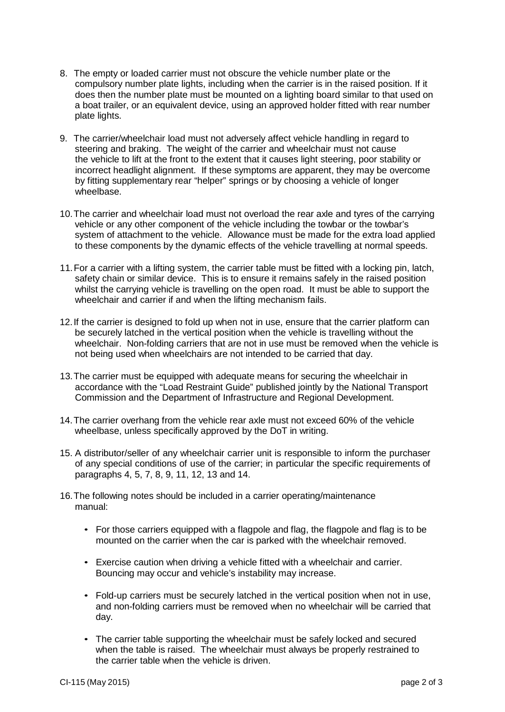- 8. The empty or loaded carrier must not obscure the vehicle number plate or the compulsory number plate lights, including when the carrier is in the raised position. If it does then the number plate must be mounted on a lighting board similar to that used on a boat trailer, or an equivalent device, using an approved holder fitted with rear number plate lights.
- 9. The carrier/wheelchair load must not adversely affect vehicle handling in regard to steering and braking. The weight of the carrier and wheelchair must not cause the vehicle to lift at the front to the extent that it causes light steering, poor stability or incorrect headlight alignment. If these symptoms are apparent, they may be overcome by fitting supplementary rear "helper" springs or by choosing a vehicle of longer wheelbase.
- 10. The carrier and wheelchair load must not overload the rear axle and tyres of the carrying vehicle or any other component of the vehicle including the towbar or the towbar's system of attachment to the vehicle. Allowance must be made for the extra load applied to these components by the dynamic effects of the vehicle travelling at normal speeds.
- 11.For a carrier with a lifting system, the carrier table must be fitted with a locking pin, latch, safety chain or similar device. This is to ensure it remains safely in the raised position whilst the carrying vehicle is travelling on the open road. It must be able to support the wheelchair and carrier if and when the lifting mechanism fails.
- 12. If the carrier is designed to fold up when not in use, ensure that the carrier platform can be securely latched in the vertical position when the vehicle is travelling without the wheelchair. Non-folding carriers that are not in use must be removed when the vehicle is not being used when wheelchairs are not intended to be carried that day.
- 13. The carrier must be equipped with adequate means for securing the wheelchair in accordance with the "Load Restraint Guide" published jointly by the National Transport Commission and the Department of Infrastructure and Regional Development.
- 14. The carrier overhang from the vehicle rear axle must not exceed 60% of the vehicle wheelbase, unless specifically approved by the DoT in writing.
- 15. A distributor/seller of any wheelchair carrier unit is responsible to inform the purchaser of any special conditions of use of the carrier; in particular the specific requirements of paragraphs 4, 5, 7, 8, 9, 11, 12, 13 and 14.
- 16. The following notes should be included in a carrier operating/maintenance manual:
	- For those carriers equipped with a flagpole and flag, the flagpole and flag is to be mounted on the carrier when the car is parked with the wheelchair removed.
	- Exercise caution when driving a vehicle fitted with a wheelchair and carrier. Bouncing may occur and vehicle's instability may increase.
	- Fold-up carriers must be securely latched in the vertical position when not in use, and non-folding carriers must be removed when no wheelchair will be carried that day.
	- The carrier table supporting the wheelchair must be safely locked and secured when the table is raised. The wheelchair must always be properly restrained to the carrier table when the vehicle is driven.